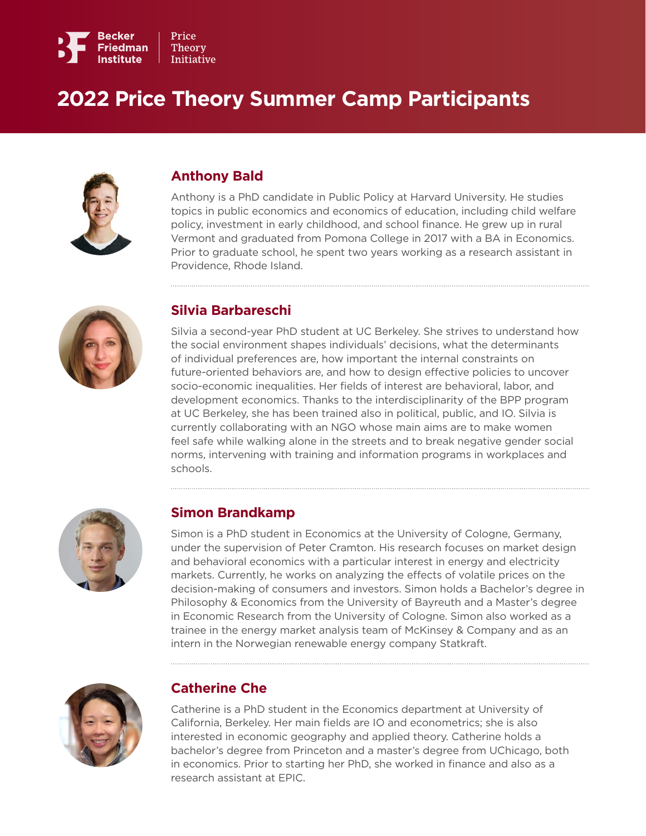

# **2022 Price Theory Summer Camp Participants**



#### **Anthony Bald**

Anthony is a PhD candidate in Public Policy at Harvard University. He studies topics in public economics and economics of education, including child welfare policy, investment in early childhood, and school finance. He grew up in rural Vermont and graduated from Pomona College in 2017 with a BA in Economics. Prior to graduate school, he spent two years working as a research assistant in Providence, Rhode Island.



#### **Silvia Barbareschi**

Silvia a second-year PhD student at UC Berkeley. She strives to understand how the social environment shapes individuals' decisions, what the determinants of individual preferences are, how important the internal constraints on future-oriented behaviors are, and how to design effective policies to uncover socio-economic inequalities. Her fields of interest are behavioral, labor, and development economics. Thanks to the interdisciplinarity of the BPP program at UC Berkeley, she has been trained also in political, public, and IO. Silvia is currently collaborating with an NGO whose main aims are to make women feel safe while walking alone in the streets and to break negative gender social norms, intervening with training and information programs in workplaces and schools.



#### **Simon Brandkamp**

Simon is a PhD student in Economics at the University of Cologne, Germany, under the supervision of Peter Cramton. His research focuses on market design and behavioral economics with a particular interest in energy and electricity markets. Currently, he works on analyzing the effects of volatile prices on the decision-making of consumers and investors. Simon holds a Bachelor's degree in Philosophy & Economics from the University of Bayreuth and a Master's degree in Economic Research from the University of Cologne. Simon also worked as a trainee in the energy market analysis team of McKinsey & Company and as an intern in the Norwegian renewable energy company Statkraft.



#### **Catherine Che**

Catherine is a PhD student in the Economics department at University of California, Berkeley. Her main fields are IO and econometrics; she is also interested in economic geography and applied theory. Catherine holds a bachelor's degree from Princeton and a master's degree from UChicago, both in economics. Prior to starting her PhD, she worked in finance and also as a research assistant at EPIC.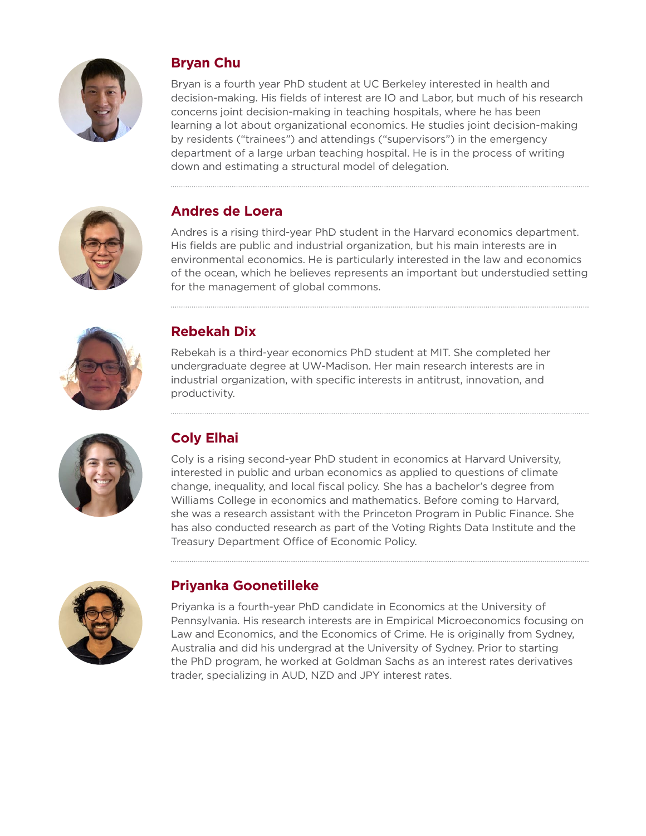

# **Bryan Chu**

Bryan is a fourth year PhD student at UC Berkeley interested in health and decision-making. His fields of interest are IO and Labor, but much of his research concerns joint decision-making in teaching hospitals, where he has been learning a lot about organizational economics. He studies joint decision-making by residents ("trainees") and attendings ("supervisors") in the emergency department of a large urban teaching hospital. He is in the process of writing down and estimating a structural model of delegation.



# **Andres de Loera**

Andres is a rising third-year PhD student in the Harvard economics department. His fields are public and industrial organization, but his main interests are in environmental economics. He is particularly interested in the law and economics of the ocean, which he believes represents an important but understudied setting for the management of global commons.



# **Rebekah Dix**

Rebekah is a third-year economics PhD student at MIT. She completed her undergraduate degree at UW-Madison. Her main research interests are in industrial organization, with specific interests in antitrust, innovation, and productivity.



# **Coly Elhai**

Coly is a rising second-year PhD student in economics at Harvard University, interested in public and urban economics as applied to questions of climate change, inequality, and local fiscal policy. She has a bachelor's degree from Williams College in economics and mathematics. Before coming to Harvard, she was a research assistant with the Princeton Program in Public Finance. She has also conducted research as part of the Voting Rights Data Institute and the Treasury Department Office of Economic Policy.



# **Priyanka Goonetilleke**

Priyanka is a fourth-year PhD candidate in Economics at the University of Pennsylvania. His research interests are in Empirical Microeconomics focusing on Law and Economics, and the Economics of Crime. He is originally from Sydney, Australia and did his undergrad at the University of Sydney. Prior to starting the PhD program, he worked at Goldman Sachs as an interest rates derivatives trader, specializing in AUD, NZD and JPY interest rates.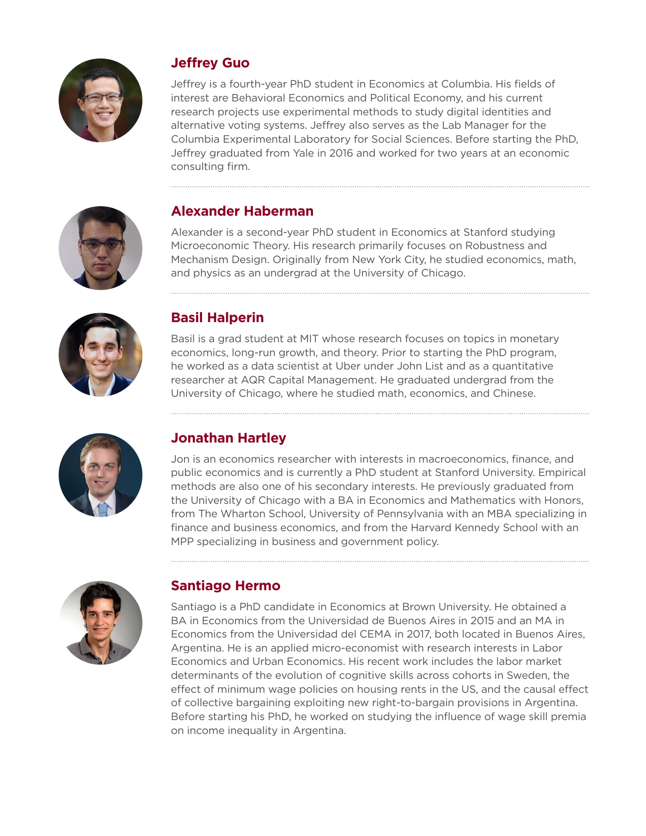

### **Jeffrey Guo**

Jeffrey is a fourth-year PhD student in Economics at Columbia. His fields of interest are Behavioral Economics and Political Economy, and his current research projects use experimental methods to study digital identities and alternative voting systems. Jeffrey also serves as the Lab Manager for the Columbia Experimental Laboratory for Social Sciences. Before starting the PhD, Jeffrey graduated from Yale in 2016 and worked for two years at an economic consulting firm.



### **Alexander Haberman**

Alexander is a second-year PhD student in Economics at Stanford studying Microeconomic Theory. His research primarily focuses on Robustness and Mechanism Design. Originally from New York City, he studied economics, math, and physics as an undergrad at the University of Chicago.



### **Basil Halperin**

Basil is a grad student at MIT whose research focuses on topics in monetary economics, long-run growth, and theory. Prior to starting the PhD program, he worked as a data scientist at Uber under John List and as a quantitative researcher at AQR Capital Management. He graduated undergrad from the University of Chicago, where he studied math, economics, and Chinese.



# **Jonathan Hartley**

Jon is an economics researcher with interests in macroeconomics, finance, and public economics and is currently a PhD student at Stanford University. Empirical methods are also one of his secondary interests. He previously graduated from the University of Chicago with a BA in Economics and Mathematics with Honors, from The Wharton School, University of Pennsylvania with an MBA specializing in finance and business economics, and from the Harvard Kennedy School with an MPP specializing in business and government policy.



# **Santiago Hermo**

Santiago is a PhD candidate in Economics at Brown University. He obtained a BA in Economics from the Universidad de Buenos Aires in 2015 and an MA in Economics from the Universidad del CEMA in 2017, both located in Buenos Aires, Argentina. He is an applied micro-economist with research interests in Labor Economics and Urban Economics. His recent work includes the labor market determinants of the evolution of cognitive skills across cohorts in Sweden, the effect of minimum wage policies on housing rents in the US, and the causal effect of collective bargaining exploiting new right-to-bargain provisions in Argentina. Before starting his PhD, he worked on studying the influence of wage skill premia on income inequality in Argentina.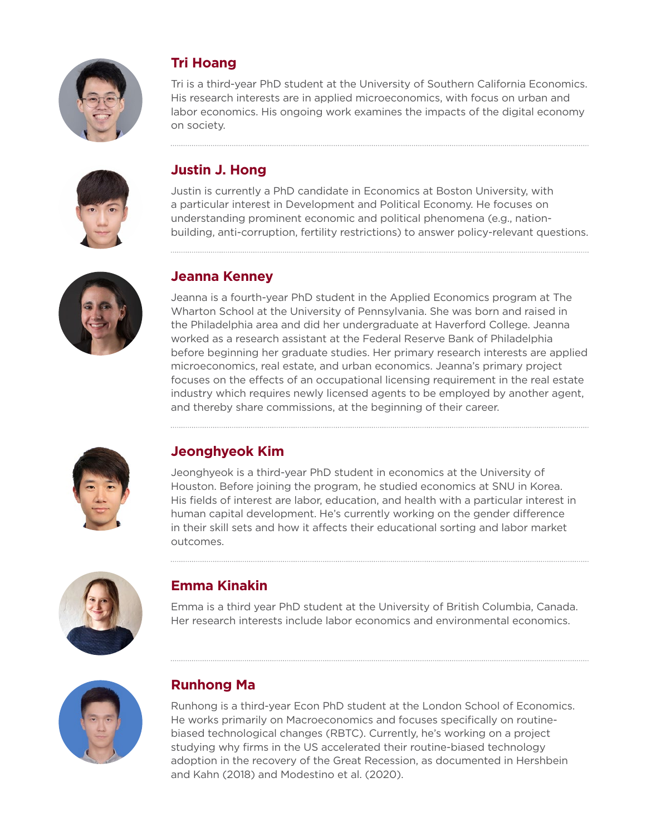

# **Tri Hoang**

Tri is a third-year PhD student at the University of Southern California Economics. His research interests are in applied microeconomics, with focus on urban and labor economics. His ongoing work examines the impacts of the digital economy on society.



# **Justin J. Hong**

Justin is currently a PhD candidate in Economics at Boston University, with a particular interest in Development and Political Economy. He focuses on understanding prominent economic and political phenomena (e.g., nationbuilding, anti-corruption, fertility restrictions) to answer policy-relevant questions.



#### **Jeanna Kenney**

Jeanna is a fourth-year PhD student in the Applied Economics program at The Wharton School at the University of Pennsylvania. She was born and raised in the Philadelphia area and did her undergraduate at Haverford College. Jeanna worked as a research assistant at the Federal Reserve Bank of Philadelphia before beginning her graduate studies. Her primary research interests are applied microeconomics, real estate, and urban economics. Jeanna's primary project focuses on the effects of an occupational licensing requirement in the real estate industry which requires newly licensed agents to be employed by another agent, and thereby share commissions, at the beginning of their career.



# **Jeonghyeok Kim**

Jeonghyeok is a third-year PhD student in economics at the University of Houston. Before joining the program, he studied economics at SNU in Korea. His fields of interest are labor, education, and health with a particular interest in human capital development. He's currently working on the gender difference in their skill sets and how it affects their educational sorting and labor market outcomes.



# **Emma Kinakin**

Emma is a third year PhD student at the University of British Columbia, Canada. Her research interests include labor economics and environmental economics.



# **Runhong Ma**

Runhong is a third-year Econ PhD student at the London School of Economics. He works primarily on Macroeconomics and focuses specifically on routinebiased technological changes (RBTC). Currently, he's working on a project studying why firms in the US accelerated their routine-biased technology adoption in the recovery of the Great Recession, as documented in Hershbein and Kahn (2018) and Modestino et al. (2020).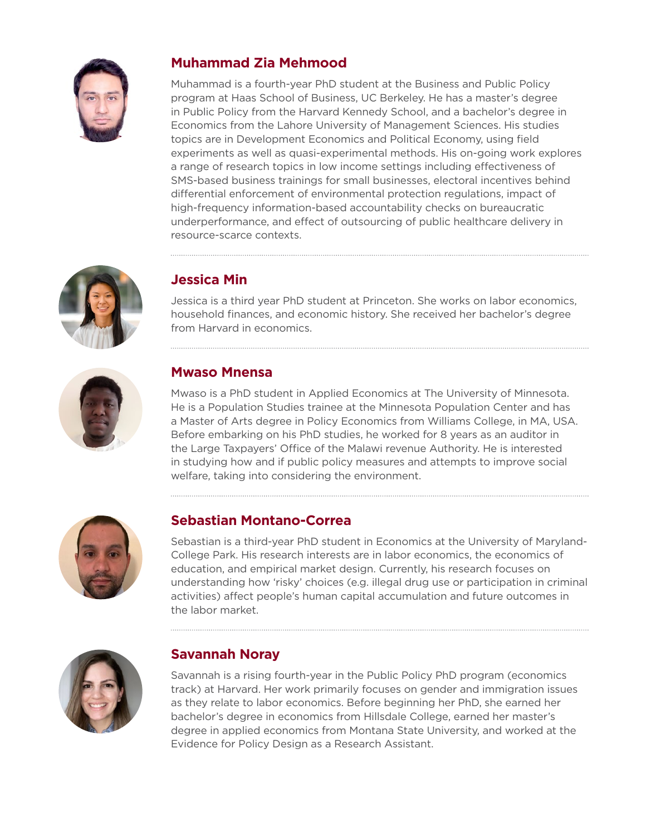

### **Muhammad Zia Mehmood**

Muhammad is a fourth-year PhD student at the Business and Public Policy program at Haas School of Business, UC Berkeley. He has a master's degree in Public Policy from the Harvard Kennedy School, and a bachelor's degree in Economics from the Lahore University of Management Sciences. His studies topics are in Development Economics and Political Economy, using field experiments as well as quasi-experimental methods. His on-going work explores a range of research topics in low income settings including effectiveness of SMS-based business trainings for small businesses, electoral incentives behind differential enforcement of environmental protection regulations, impact of high-frequency information-based accountability checks on bureaucratic underperformance, and effect of outsourcing of public healthcare delivery in resource-scarce contexts.



# **Jessica Min**

Jessica is a third year PhD student at Princeton. She works on labor economics, household finances, and economic history. She received her bachelor's degree from Harvard in economics.



### **Mwaso Mnensa**

Mwaso is a PhD student in Applied Economics at The University of Minnesota. He is a Population Studies trainee at the Minnesota Population Center and has a Master of Arts degree in Policy Economics from Williams College, in MA, USA. Before embarking on his PhD studies, he worked for 8 years as an auditor in the Large Taxpayers' Office of the Malawi revenue Authority. He is interested in studying how and if public policy measures and attempts to improve social welfare, taking into considering the environment.



# **Sebastian Montano-Correa**

Sebastian is a third-year PhD student in Economics at the University of Maryland-College Park. His research interests are in labor economics, the economics of education, and empirical market design. Currently, his research focuses on understanding how 'risky' choices (e.g. illegal drug use or participation in criminal activities) affect people's human capital accumulation and future outcomes in the labor market.



#### **Savannah Noray**

Savannah is a rising fourth-year in the Public Policy PhD program (economics track) at Harvard. Her work primarily focuses on gender and immigration issues as they relate to labor economics. Before beginning her PhD, she earned her bachelor's degree in economics from Hillsdale College, earned her master's degree in applied economics from Montana State University, and worked at the Evidence for Policy Design as a Research Assistant.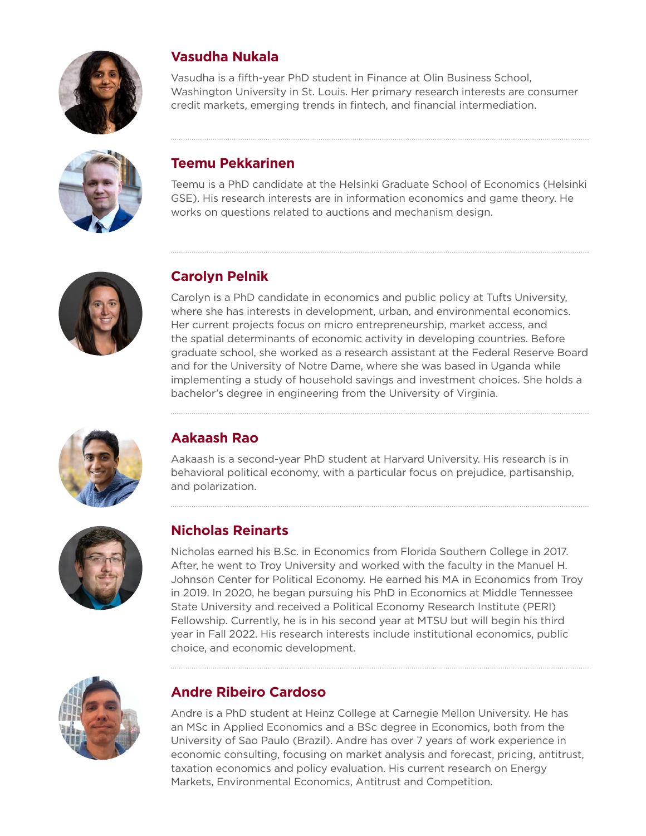

### **Vasudha Nukala**

Vasudha is a fifth-year PhD student in Finance at Olin Business School, Washington University in St. Louis. Her primary research interests are consumer credit markets, emerging trends in fintech, and financial intermediation.



### **Teemu Pekkarinen**

Teemu is a PhD candidate at the Helsinki Graduate School of Economics (Helsinki GSE). His research interests are in information economics and game theory. He works on questions related to auctions and mechanism design.



# **Carolyn Pelnik**

Carolyn is a PhD candidate in economics and public policy at Tufts University, where she has interests in development, urban, and environmental economics. Her current projects focus on micro entrepreneurship, market access, and the spatial determinants of economic activity in developing countries. Before graduate school, she worked as a research assistant at the Federal Reserve Board and for the University of Notre Dame, where she was based in Uganda while implementing a study of household savings and investment choices. She holds a bachelor's degree in engineering from the University of Virginia.



# **Aakaash Rao**

Aakaash is a second-year PhD student at Harvard University. His research is in behavioral political economy, with a particular focus on prejudice, partisanship, and polarization.



# **Nicholas Reinarts**

Nicholas earned his B.Sc. in Economics from Florida Southern College in 2017. After, he went to Troy University and worked with the faculty in the Manuel H. Johnson Center for Political Economy. He earned his MA in Economics from Troy in 2019. In 2020, he began pursuing his PhD in Economics at Middle Tennessee State University and received a Political Economy Research Institute (PERI) Fellowship. Currently, he is in his second year at MTSU but will begin his third year in Fall 2022. His research interests include institutional economics, public choice, and economic development.



# **Andre Ribeiro Cardoso**

Andre is a PhD student at Heinz College at Carnegie Mellon University. He has an MSc in Applied Economics and a BSc degree in Economics, both from the University of Sao Paulo (Brazil). Andre has over 7 years of work experience in economic consulting, focusing on market analysis and forecast, pricing, antitrust, taxation economics and policy evaluation. His current research on Energy Markets, Environmental Economics, Antitrust and Competition.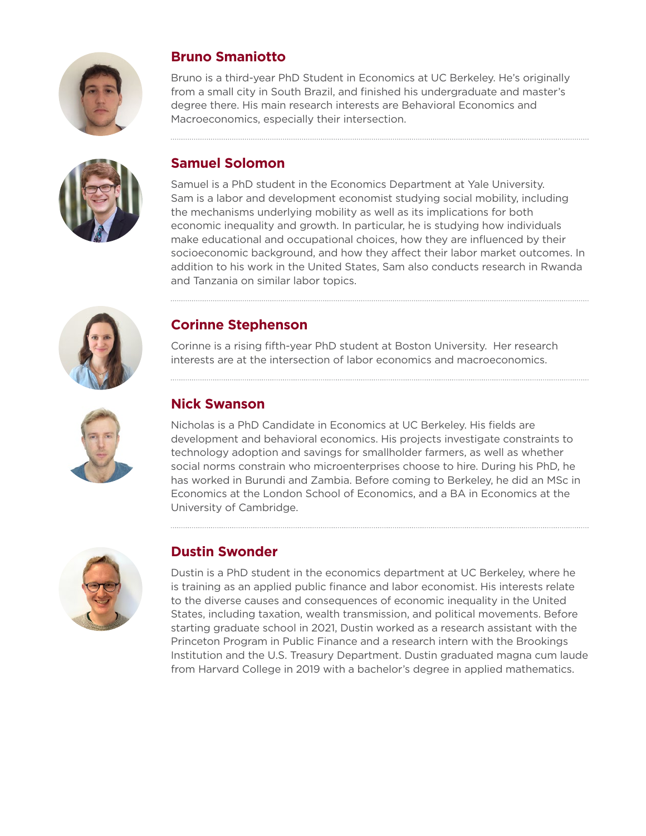



# **Bruno Smaniotto**

Bruno is a third-year PhD Student in Economics at UC Berkeley. He's originally from a small city in South Brazil, and finished his undergraduate and master's degree there. His main research interests are Behavioral Economics and Macroeconomics, especially their intersection.

# **Samuel Solomon**

Samuel is a PhD student in the Economics Department at Yale University. Sam is a labor and development economist studying social mobility, including the mechanisms underlying mobility as well as its implications for both economic inequality and growth. In particular, he is studying how individuals make educational and occupational choices, how they are influenced by their socioeconomic background, and how they affect their labor market outcomes. In addition to his work in the United States, Sam also conducts research in Rwanda and Tanzania on similar labor topics.



#### **Corinne Stephenson**

Corinne is a rising fifth-year PhD student at Boston University. Her research interests are at the intersection of labor economics and macroeconomics.



### **Nick Swanson**

Nicholas is a PhD Candidate in Economics at UC Berkeley. His fields are development and behavioral economics. His projects investigate constraints to technology adoption and savings for smallholder farmers, as well as whether social norms constrain who microenterprises choose to hire. During his PhD, he has worked in Burundi and Zambia. Before coming to Berkeley, he did an MSc in Economics at the London School of Economics, and a BA in Economics at the University of Cambridge.



# **Dustin Swonder**

Dustin is a PhD student in the economics department at UC Berkeley, where he is training as an applied public finance and labor economist. His interests relate to the diverse causes and consequences of economic inequality in the United States, including taxation, wealth transmission, and political movements. Before starting graduate school in 2021, Dustin worked as a research assistant with the Princeton Program in Public Finance and a research intern with the Brookings Institution and the U.S. Treasury Department. Dustin graduated magna cum laude from Harvard College in 2019 with a bachelor's degree in applied mathematics.